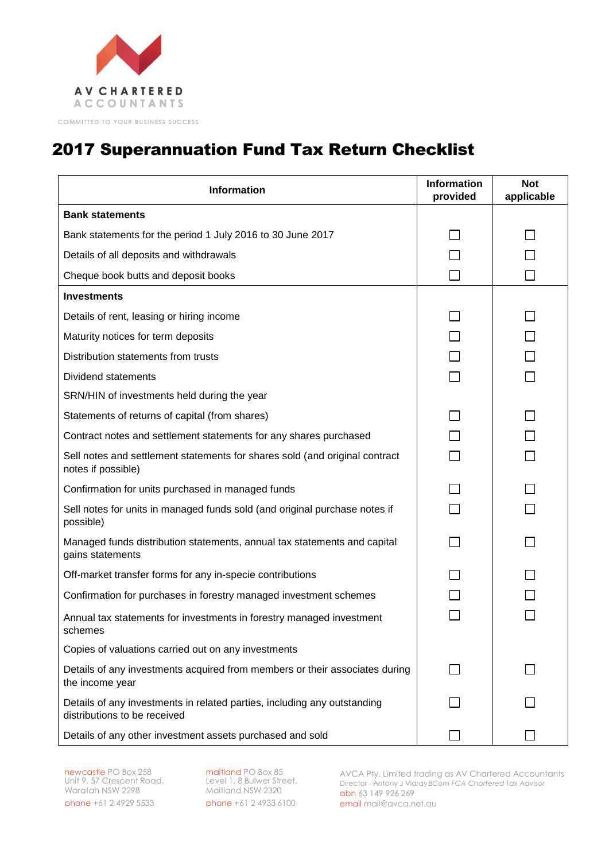

## 2017 Superannuation Fund Tax Return Checklist

| <b>Information</b>                                                                                       | <b>Information</b><br>provided | <b>Not</b><br>applicable |
|----------------------------------------------------------------------------------------------------------|--------------------------------|--------------------------|
| <b>Bank statements</b>                                                                                   |                                |                          |
| Bank statements for the period 1 July 2016 to 30 June 2017                                               |                                |                          |
| Details of all deposits and withdrawals                                                                  |                                |                          |
| Cheque book butts and deposit books                                                                      |                                |                          |
| <b>Investments</b>                                                                                       |                                |                          |
| Details of rent, leasing or hiring income                                                                |                                |                          |
| Maturity notices for term deposits                                                                       |                                |                          |
| Distribution statements from trusts                                                                      |                                |                          |
| Dividend statements                                                                                      |                                |                          |
| SRN/HIN of investments held during the year                                                              |                                |                          |
| Statements of returns of capital (from shares)                                                           |                                |                          |
| Contract notes and settlement statements for any shares purchased                                        |                                |                          |
| Sell notes and settlement statements for shares sold (and original contract<br>notes if possible)        |                                |                          |
| Confirmation for units purchased in managed funds                                                        |                                |                          |
| Sell notes for units in managed funds sold (and original purchase notes if<br>possible)                  |                                |                          |
| Managed funds distribution statements, annual tax statements and capital<br>gains statements             |                                |                          |
| Off-market transfer forms for any in-specie contributions                                                |                                |                          |
| Confirmation for purchases in forestry managed investment schemes                                        |                                |                          |
| Annual tax statements for investments in forestry managed investment<br>schemes                          |                                |                          |
| Copies of valuations carried out on any investments                                                      |                                |                          |
| Details of any investments acquired from members or their associates during<br>the income year           |                                |                          |
| Details of any investments in related parties, including any outstanding<br>distributions to be received |                                |                          |
| Details of any other investment assets purchased and sold                                                |                                |                          |

newcastle PO Box 258 Unit 9, 57 Crescent Road, Waratah NSW 2298 phone +61 2 4929 5533

maitland PO Box 85 Level 1, 8 Bulwer Street, Maitland NSW 2320 phone +61 2 4933 6100 AVCA Pty. Limited trading as AV Chartered Accountants Director - Antony J Vidray*BCom FCA Chartered Tax Advisor* abn 63 149 926 269 email [mail@avca.net.au](mailto:mail@avca.net.au)